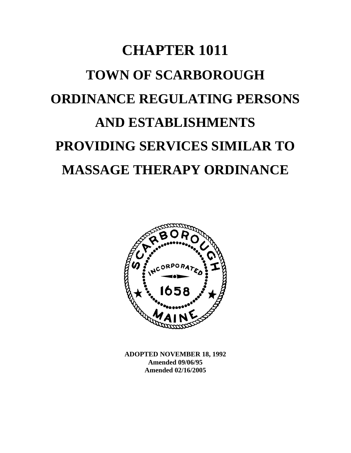# **CHAPTER 1011 TOWN OF SCARBOROUGH ORDINANCE REGULATING PERSONS AND ESTABLISHMENTS PROVIDING SERVICES SIMILAR TO MASSAGE THERAPY ORDINANCE**



**ADOPTED NOVEMBER 18, 1992 Amended 09/06/95 Amended 02/16/2005**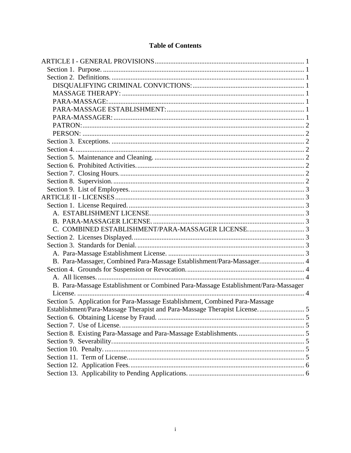# **Table of Contents**

| B. Para-Massager, Combined Para-Massage Establishment/Para-Massager 4              |  |
|------------------------------------------------------------------------------------|--|
|                                                                                    |  |
|                                                                                    |  |
| B. Para-Massage Establishment or Combined Para-Massage Establishment/Para-Massager |  |
|                                                                                    |  |
| Section 5. Application for Para-Massage Establishment, Combined Para-Massage       |  |
| Establishment/Para-Massage Therapist and Para-Massage Therapist License 5          |  |
|                                                                                    |  |
|                                                                                    |  |
|                                                                                    |  |
|                                                                                    |  |
|                                                                                    |  |
|                                                                                    |  |
|                                                                                    |  |
|                                                                                    |  |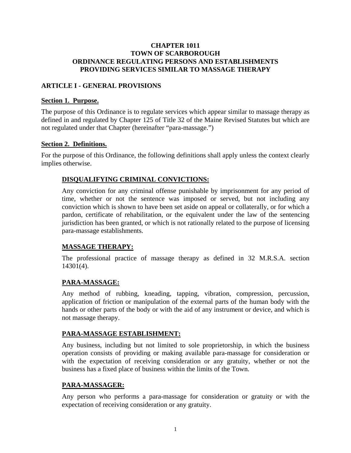## <span id="page-2-0"></span>**CHAPTER 1011 TOWN OF SCARBOROUGH ORDINANCE REGULATING PERSONS AND ESTABLISHMENTS PROVIDING SERVICES SIMILAR TO MASSAGE THERAPY**

## **ARTICLE I - GENERAL PROVISIONS**

## **Section 1. Purpose.**

The purpose of this Ordinance is to regulate services which appear similar to massage therapy as defined in and regulated by Chapter 125 of Title 32 of the Maine Revised Statutes but which are not regulated under that Chapter (hereinafter "para-massage.")

## **Section 2. Definitions.**

For the purpose of this Ordinance, the following definitions shall apply unless the context clearly implies otherwise.

# **DISQUALIFYING CRIMINAL CONVICTIONS:**

Any conviction for any criminal offense punishable by imprisonment for any period of time, whether or not the sentence was imposed or served, but not including any conviction which is shown to have been set aside on appeal or collaterally, or for which a pardon, certificate of rehabilitation, or the equivalent under the law of the sentencing jurisdiction has been granted, or which is not rationally related to the purpose of licensing para-massage establishments.

# **MASSAGE THERAPY:**

The professional practice of massage therapy as defined in 32 M.R.S.A. section 14301(4).

## **PARA-MASSAGE:**

Any method of rubbing, kneading, tapping, vibration, compression, percussion, application of friction or manipulation of the external parts of the human body with the hands or other parts of the body or with the aid of any instrument or device, and which is not massage therapy.

## **PARA-MASSAGE ESTABLISHMENT:**

Any business, including but not limited to sole proprietorship, in which the business operation consists of providing or making available para-massage for consideration or with the expectation of receiving consideration or any gratuity, whether or not the business has a fixed place of business within the limits of the Town.

## **PARA-MASSAGER:**

Any person who performs a para-massage for consideration or gratuity or with the expectation of receiving consideration or any gratuity.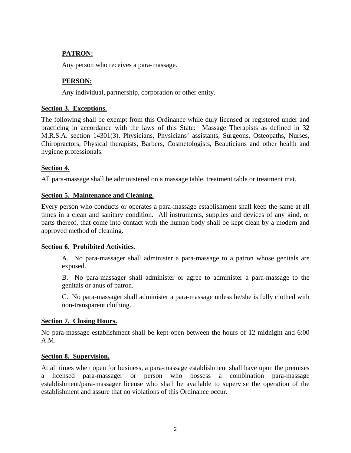# <span id="page-3-0"></span>**PATRON:**

Any person who receives a para-massage.

# **PERSON:**

Any individual, partnership, corporation or other entity.

## **Section 3. Exceptions.**

The following shall be exempt from this Ordinance while duly licensed or registered under and practicing in accordance with the laws of this State: Massage Therapists as defined in 32 M.R.S.A. section 14301(3), Physicians, Physicians' assistants, Surgeons, Osteopaths, Nurses, Chiropractors, Physical therapists, Barbers, Cosmetologists, Beauticians and other health and hygiene professionals.

## **Section 4.**

All para-massage shall be administered on a massage table, treatment table or treatment mat.

## **Section 5. Maintenance and Cleaning.**

Every person who conducts or operates a para-massage establishment shall keep the same at all times in a clean and sanitary condition. All instruments, supplies and devices of any kind, or parts thereof, that come into contact with the human body shall be kept clean by a modern and approved method of cleaning.

## **Section 6. Prohibited Activities.**

A. No para-massager shall administer a para-massage to a patron whose genitals are exposed.

B. No para-massager shall administer or agree to administer a para-massage to the genitals or anus of patron.

C. No para-massager shall administer a para-massage unless he/she is fully clothed with non-transparent clothing.

## **Section 7. Closing Hours.**

No para-massage establishment shall be kept open between the hours of 12 midnight and 6:00 A.M.

## **Section 8. Supervision.**

At all times when open for business, a para-massage establishment shall have upon the premises a licensed para-massager or person who possess a combination para-massage establishment/para-massager license who shall be available to supervise the operation of the establishment and assure that no violations of this Ordinance occur.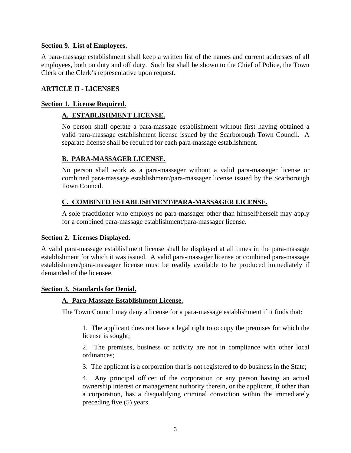## <span id="page-4-0"></span>**Section 9. List of Employees.**

A para-massage establishment shall keep a written list of the names and current addresses of all employees, both on duty and off duty. Such list shall be shown to the Chief of Police, the Town Clerk or the Clerk's representative upon request.

## **ARTICLE II - LICENSES**

## **Section 1. License Required.**

# **A. ESTABLISHMENT LICENSE.**

No person shall operate a para-massage establishment without first having obtained a valid para-massage establishment license issued by the Scarborough Town Council. A separate license shall be required for each para-massage establishment.

## **B. PARA-MASSAGER LICENSE.**

No person shall work as a para-massager without a valid para-massager license or combined para-massage establishment/para-massager license issued by the Scarborough Town Council.

# **C. COMBINED ESTABLISHMENT/PARA-MASSAGER LICENSE.**

A sole practitioner who employs no para-massager other than himself/herself may apply for a combined para-massage establishment/para-massager license.

## **Section 2. Licenses Displayed.**

A valid para-massage establishment license shall be displayed at all times in the para-massage establishment for which it was issued. A valid para-massager license or combined para-massage establishment/para-massager license must be readily available to be produced immediately if demanded of the licensee.

## **Section 3. Standards for Denial.**

## **A. Para-Massage Establishment License.**

The Town Council may deny a license for a para-massage establishment if it finds that:

1. The applicant does not have a legal right to occupy the premises for which the license is sought;

2. The premises, business or activity are not in compliance with other local ordinances;

3. The applicant is a corporation that is not registered to do business in the State;

4. Any principal officer of the corporation or any person having an actual ownership interest or management authority therein, or the applicant, if other than a corporation, has a disqualifying criminal conviction within the immediately preceding five (5) years.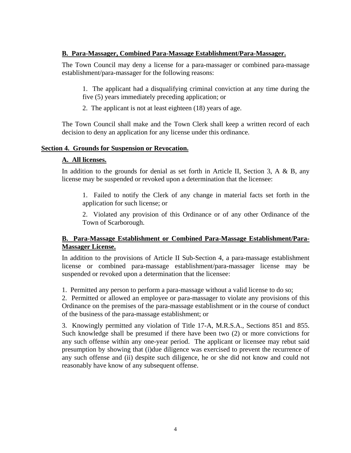# <span id="page-5-0"></span>**B. Para-Massager, Combined Para-Massage Establishment/Para-Massager.**

The Town Council may deny a license for a para-massager or combined para-massage establishment/para-massager for the following reasons:

1. The applicant had a disqualifying criminal conviction at any time during the five (5) years immediately preceding application; or

2. The applicant is not at least eighteen (18) years of age.

The Town Council shall make and the Town Clerk shall keep a written record of each decision to deny an application for any license under this ordinance.

# **Section 4. Grounds for Suspension or Revocation.**

# **A. All licenses.**

In addition to the grounds for denial as set forth in Article II, Section 3, A  $\&$  B, any license may be suspended or revoked upon a determination that the licensee:

1. Failed to notify the Clerk of any change in material facts set forth in the application for such license; or

2. Violated any provision of this Ordinance or of any other Ordinance of the Town of Scarborough.

# **B. Para-Massage Establishment or Combined Para-Massage Establishment/Para-Massager License.**

In addition to the provisions of Article II Sub-Section 4, a para-massage establishment license or combined para-massage establishment/para-massager license may be suspended or revoked upon a determination that the licensee:

1. Permitted any person to perform a para-massage without a valid license to do so;

2. Permitted or allowed an employee or para-massager to violate any provisions of this Ordinance on the premises of the para-massage establishment or in the course of conduct of the business of the para-massage establishment; or

3. Knowingly permitted any violation of Title 17-A, M.R.S.A., Sections 851 and 855. Such knowledge shall be presumed if there have been two (2) or more convictions for any such offense within any one-year period. The applicant or licensee may rebut said presumption by showing that (i)due diligence was exercised to prevent the recurrence of any such offense and (ii) despite such diligence, he or she did not know and could not reasonably have know of any subsequent offense.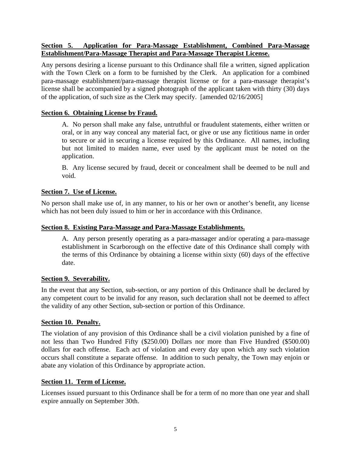# <span id="page-6-0"></span>**Section 5. Application for Para-Massage Establishment, Combined Para-Massage Establishment/Para-Massage Therapist and Para-Massage Therapist License.**

Any persons desiring a license pursuant to this Ordinance shall file a written, signed application with the Town Clerk on a form to be furnished by the Clerk. An application for a combined para-massage establishment/para-massage therapist license or for a para-massage therapist's license shall be accompanied by a signed photograph of the applicant taken with thirty (30) days of the application, of such size as the Clerk may specify. [amended 02/16/2005]

# **Section 6. Obtaining License by Fraud.**

A. No person shall make any false, untruthful or fraudulent statements, either written or oral, or in any way conceal any material fact, or give or use any fictitious name in order to secure or aid in securing a license required by this Ordinance. All names, including but not limited to maiden name, ever used by the applicant must be noted on the application.

B. Any license secured by fraud, deceit or concealment shall be deemed to be null and void.

# **Section 7. Use of License.**

No person shall make use of, in any manner, to his or her own or another's benefit, any license which has not been duly issued to him or her in accordance with this Ordinance.

# **Section 8. Existing Para-Massage and Para-Massage Establishments.**

A. Any person presently operating as a para-massager and/or operating a para-massage establishment in Scarborough on the effective date of this Ordinance shall comply with the terms of this Ordinance by obtaining a license within sixty (60) days of the effective date.

## **Section 9. Severability.**

In the event that any Section, sub-section, or any portion of this Ordinance shall be declared by any competent court to be invalid for any reason, such declaration shall not be deemed to affect the validity of any other Section, sub-section or portion of this Ordinance.

# **Section 10. Penalty.**

The violation of any provision of this Ordinance shall be a civil violation punished by a fine of not less than Two Hundred Fifty (\$250.00) Dollars nor more than Five Hundred (\$500.00) dollars for each offense. Each act of violation and every day upon which any such violation occurs shall constitute a separate offense. In addition to such penalty, the Town may enjoin or abate any violation of this Ordinance by appropriate action.

# **Section 11. Term of License.**

Licenses issued pursuant to this Ordinance shall be for a term of no more than one year and shall expire annually on September 30th.